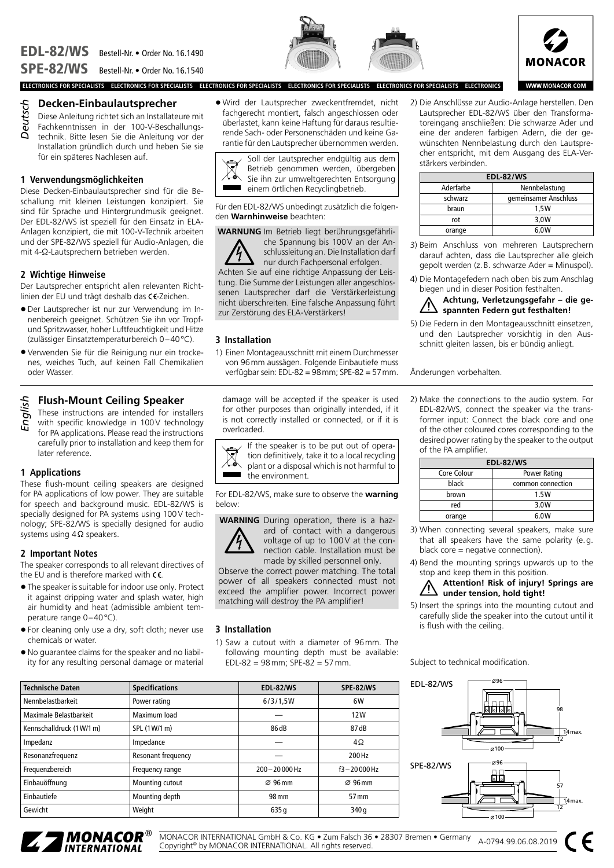



**WWW.MONACOR.COM** 

**ELECTRONICS FOR SPECIALISTS ELECTRONICS FOR SPECIALISTS ELECTRONICS FOR SPECIALISTS ELECTRONICS FOR SPECIALISTS ELECTRONICS FOR SPECIALISTS ELECTRONICS**

## **Decken-Einbaulautsprecher**

Diese Anleitung richtet sich an Installateure mit Fachkenntnissen in der 100-V-Beschallungstechnik. Bitte lesen Sie die Anleitung vor der Installation gründlich durch und heben Sie sie für ein späteres Nachlesen auf. *Deutsch*

## **1 Verwendungsmöglichkeiten**

Diese Decken-Einbaulautsprecher sind für die Beschallung mit kleinen Leistungen konzipiert. Sie sind für Sprache und Hintergrundmusik geeignet. Der EDL-82/WS ist speziell für den Einsatz in ELA-Anlagen konzipiert, die mit 100-V-Technik arbeiten und der SPE-82/WS speziell für Audio-Anlagen, die mit 4-Ω-Lautsprechern betrieben werden.

#### **2 Wichtige Hinweise**

Der Lautsprecher entspricht allen relevanten Richtlinien der EU und trägt deshalb das CC-Zeichen.

- Der Lautsprecher ist nur zur Verwendung im Innenbereich geeignet. Schützen Sie ihn vor Tropfund Spritzwasser, hoher Luftfeuchtigkeit und Hitze (zulässiger Einsatztemperaturbereich 0–40°C).
- Verwenden Sie für die Reinigung nur ein trockenes, weiches Tuch, auf keinen Fall Chemikalien oder Wasser.

# **Flush-Mount Ceiling Speaker**

These instructions are intended for installers with specific knowledge in 100V technology for PA applications. Please read the instructions carefully prior to installation and keep them for later reference. *English*

## **1 Applications**

These flush-mount ceiling speakers are designed for PA applications of low power. They are suitable for speech and background music. EDL-82/WS is specially designed for PA systems using 100V technology; SPE-82/WS is specially designed for audio systems using 4Ω speakers.

## **2 Important Notes**

The speaker corresponds to all relevant directives of the EU and is therefore marked with  $\epsilon$ .

- The speaker is suitable for indoor use only. Protect it against dripping water and splash water, high air humidity and heat (admissible ambient temperature range 0–40°C).
- For cleaning only use a dry, soft cloth; never use chemicals or water.
- No guarantee claims for the speaker and no liability for any resulting personal damage or material

• Wird der Lautsprecher zweckentfremdet, nicht fachgerecht montiert, falsch angeschlossen oder überlastet, kann keine Haftung für daraus resultierende Sach- oder Personenschäden und keine Garantie für den Lautsprecher übernommen werden.



Für den EDL-82/WS unbedingt zusätzlich die folgenden **Warnhinweise** beachten:

**WARNUNG** Im Betrieb liegt berührungsgefährliche Spannung bis 100V an der An-



schlussleitung an. Die Installation darf nur durch Fachpersonal erfolgen.

Achten Sie auf eine richtige Anpassung der Leistung. Die Summe der Leistungen aller angeschlossenen Lautsprecher darf die Verstärkerleistung nicht überschreiten. Eine falsche Anpassung führt zur Zerstörung des ELA-Verstärkers!

## **3 Installation**

1) Einen Montageausschnitt mit einem Durchmesser von 96mm aussägen. Folgende Einbautiefe muss verfügbar sein: EDL-82 = 98mm; SPE-82 = 57mm.

damage will be accepted if the speaker is used for other purposes than originally intended, if it is not correctly installed or connected, or if it is overloaded.



For EDL-82/WS, make sure to observe the **warning** below:

**WARNING** During operation, there is a haz-



ard of contact with a dangerous voltage of up to 100V at the connection cable. Installation must be made by skilled personnel only.

Observe the correct power matching. The total power of all speakers connected must not exceed the amplifier power. Incorrect power matching will destroy the PA amplifier!

#### **3 Installation**

1) Saw a cutout with a diameter of 96mm. The following mounting depth must be available: EDL-82 = 98mm; SPE-82 = 57mm.

| <b>Technische Daten</b>   | <b>Specifications</b> | <b>EDL-82/WS</b>    | <b>SPE-82/WS</b>    |
|---------------------------|-----------------------|---------------------|---------------------|
| Nennbelastbarkeit         | Power rating          | 6/3/1.5W            | 6W                  |
| Maximale Belastbarkeit    | Maximum load          |                     | 12W                 |
| Kennschalldruck (1 W/1 m) | SPL (1W/1 m)          | 86 dB               | 87 dB               |
| Impedanz                  | Impedance             |                     | $4\Omega$           |
| Resonanzfrequenz          | Resonant frequency    |                     | 200 Hz              |
| Frequenzbereich           | Frequency range       | $200 - 20000$ Hz    | $f3 - 20000$ Hz     |
| Einbauöffnung             | Mounting cutout       | $\varnothing$ 96 mm | $\varnothing$ 96 mm |
| Einbautiefe               | Mounting depth        | 98 mm               | 57 mm               |
| Gewicht                   | Weight                | 635q                | 340q                |

2) Die Anschlüsse zur Audio-Anlage herstellen. Den Lautsprecher EDL-82/WS über den Transformatoreingang anschließen: Die schwarze Ader und eine der anderen farbigen Adern, die der gewünschten Nennbelastung durch den Lautsprecher entspricht, mit dem Ausgang des ELA-Verstärkers verbinden.

| <b>EDL-82/WS</b> |                       |  |
|------------------|-----------------------|--|
| Aderfarbe        | Nennbelastung         |  |
| schwarz          | gemeinsamer Anschluss |  |
| braun            | 1.5W                  |  |
| rot              | 3.0W                  |  |
| orange           | 6.0W                  |  |

- 3) Beim Anschluss von mehreren Lautsprechern darauf achten, dass die Lautsprecher alle gleich gepolt werden (z.B. schwarze Ader = Minuspol).
- 4) Die Montagefedern nach oben bis zum Anschlag biegen und in dieser Position festhalten.

#### **Achtung, Verletzungsgefahr – die gespannten Federn gut festhalten!**

5) Die Federn in den Montageausschnitt einsetzen, und den Lautsprecher vorsichtig in den Ausschnitt gleiten lassen, bis er bündig anliegt.

Änderungen vorbehalten.

2) Make the connections to the audio system. For EDL-82/WS, connect the speaker via the transformer input: Connect the black core and one of the other coloured cores corresponding to the desired power rating by the speaker to the output of the PA amplifier.

| <b>EDL-82/WS</b> |                   |  |
|------------------|-------------------|--|
| Core Colour      | Power Rating      |  |
| black            | common connection |  |
| brown            | 1.5W              |  |
| red              | 3.0W              |  |
| orange           | 6.0W              |  |

- 3) When connecting several speakers, make sure that all speakers have the same polarity (e.g. black core = negative connection).
- 4) Bend the mounting springs upwards up to the stop and keep them in this position.

**Attention! Risk of injury! Springs are under tension, hold tight!**

5) Insert the springs into the mounting cutout and carefully slide the speaker into the cutout until it is flush with the ceiling.

Subject to technical modification.





MONACOR INTERNATIONAL GmbH & Co. KG • Zum Falsch 36 • 28307 Bremen • Germany MONACOR INTERNATIONAL GMDH & CO. KG ● Zum Falsch 36 ● 28307 Bremen ● Germany A-0794.99.06.08.2019<br>Copyright® by MONACOR INTERNATIONAL. All rights reserved.